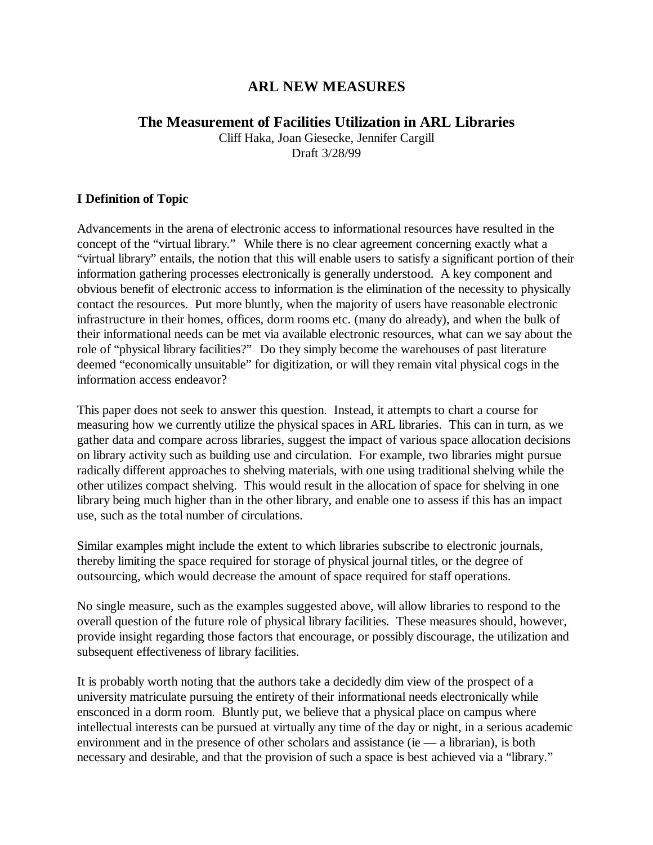# **ARL NEW MEASURES**

## **The Measurement of Facilities Utilization in ARL Libraries**

Cliff Haka, Joan Giesecke, Jennifer Cargill Draft 3/28/99

### **I Definition of Topic**

Advancements in the arena of electronic access to informational resources have resulted in the concept of the "virtual library." While there is no clear agreement concerning exactly what a "virtual library" entails, the notion that this will enable users to satisfy a significant portion of their information gathering processes electronically is generally understood. A key component and obvious benefit of electronic access to information is the elimination of the necessity to physically contact the resources. Put more bluntly, when the majority of users have reasonable electronic infrastructure in their homes, offices, dorm rooms etc. (many do already), and when the bulk of their informational needs can be met via available electronic resources, what can we say about the role of "physical library facilities?" Do they simply become the warehouses of past literature deemed "economically unsuitable" for digitization, or will they remain vital physical cogs in the information access endeavor?

This paper does not seek to answer this question. Instead, it attempts to chart a course for measuring how we currently utilize the physical spaces in ARL libraries. This can in turn, as we gather data and compare across libraries, suggest the impact of various space allocation decisions on library activity such as building use and circulation. For example, two libraries might pursue radically different approaches to shelving materials, with one using traditional shelving while the other utilizes compact shelving. This would result in the allocation of space for shelving in one library being much higher than in the other library, and enable one to assess if this has an impact use, such as the total number of circulations.

Similar examples might include the extent to which libraries subscribe to electronic journals, thereby limiting the space required for storage of physical journal titles, or the degree of outsourcing, which would decrease the amount of space required for staff operations.

No single measure, such as the examples suggested above, will allow libraries to respond to the overall question of the future role of physical library facilities. These measures should, however, provide insight regarding those factors that encourage, or possibly discourage, the utilization and subsequent effectiveness of library facilities.

It is probably worth noting that the authors take a decidedly dim view of the prospect of a university matriculate pursuing the entirety of their informational needs electronically while ensconced in a dorm room. Bluntly put, we believe that a physical place on campus where intellectual interests can be pursued at virtually any time of the day or night, in a serious academic environment and in the presence of other scholars and assistance (ie  $-$  a librarian), is both necessary and desirable, and that the provision of such a space is best achieved via a "library."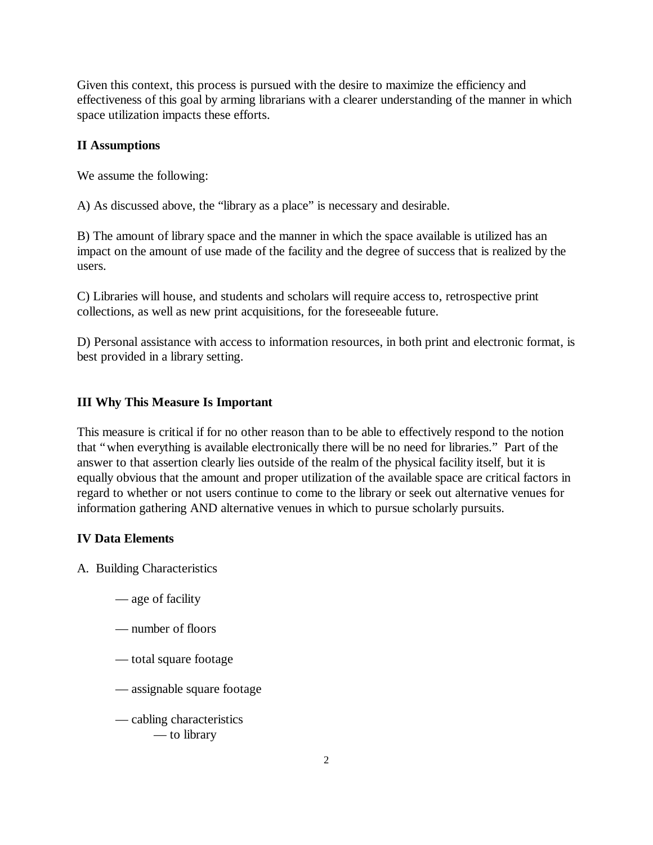Given this context, this process is pursued with the desire to maximize the efficiency and effectiveness of this goal by arming librarians with a clearer understanding of the manner in which space utilization impacts these efforts.

#### **II Assumptions**

We assume the following:

A) As discussed above, the "library as a place" is necessary and desirable.

B) The amount of library space and the manner in which the space available is utilized has an impact on the amount of use made of the facility and the degree of success that is realized by the users.

C) Libraries will house, and students and scholars will require access to, retrospective print collections, as well as new print acquisitions, for the foreseeable future.

D) Personal assistance with access to information resources, in both print and electronic format, is best provided in a library setting.

#### **III Why This Measure Is Important**

This measure is critical if for no other reason than to be able to effectively respond to the notion that "when everything is available electronically there will be no need for libraries." Part of the answer to that assertion clearly lies outside of the realm of the physical facility itself, but it is equally obvious that the amount and proper utilization of the available space are critical factors in regard to whether or not users continue to come to the library or seek out alternative venues for information gathering AND alternative venues in which to pursue scholarly pursuits.

#### **IV Data Elements**

A. Building Characteristics

- age of facility
- number of floors
- total square footage
- assignable square footage
- cabling characteristics — to library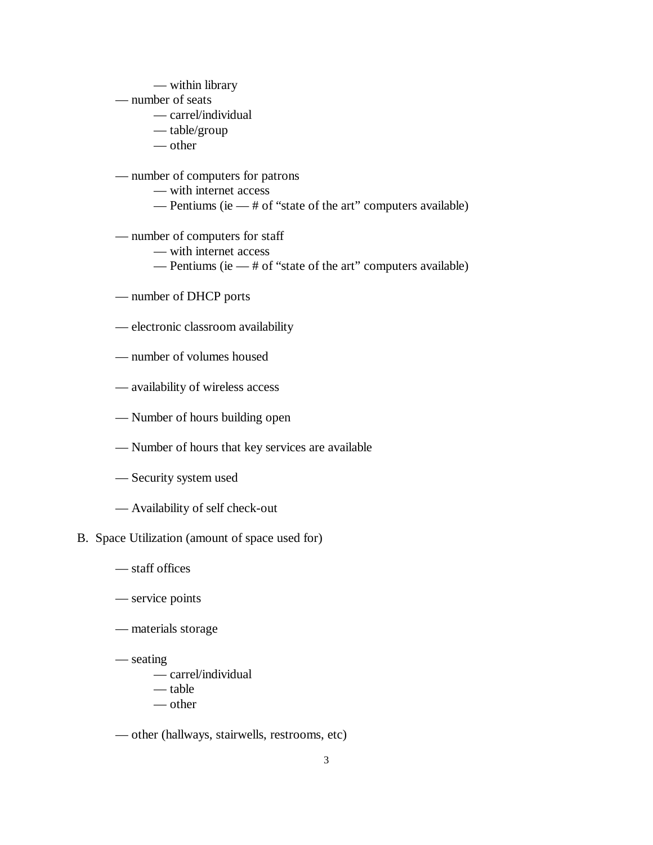- within library
- number of seats
	- carrel/individual
	- table/group
	- other
- number of computers for patrons
	- with internet access
	- Pentiums (ie # of "state of the art" computers available)
- number of computers for staff
	- with internet access
	- Pentiums (ie # of "state of the art" computers available)
- number of DHCP ports
- electronic classroom availability
- number of volumes housed
- availability of wireless access
- Number of hours building open
- Number of hours that key services are available
- Security system used
- Availability of self check-out
- B. Space Utilization (amount of space used for)
	- staff offices
	- service points
	- materials storage
	- seating
		- carrel/individual
		- table
		- other
	- other (hallways, stairwells, restrooms, etc)